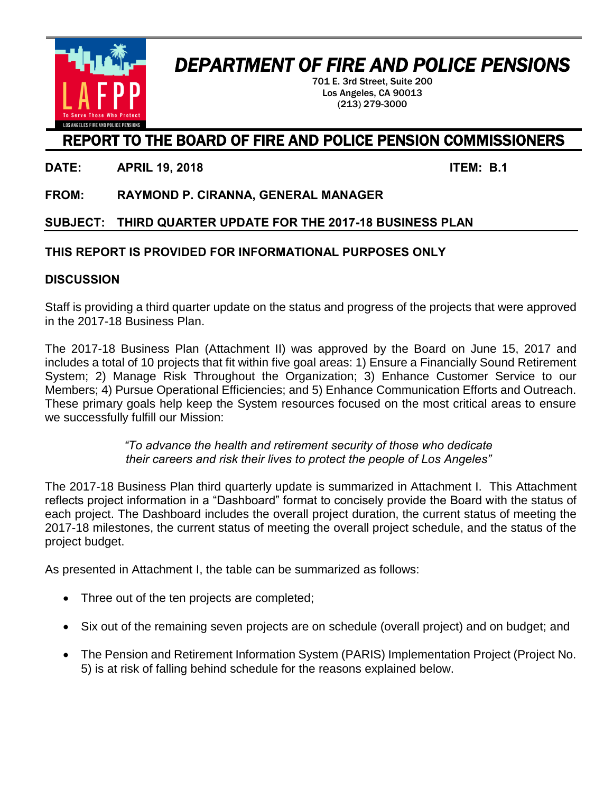## *DEPARTMENT OF FIRE AND POLICE PENSIONS*

701 E. 3rd Street, Suite 200 Los Angeles, CA 90013 (213) 279-3000

### REPORT TO THE BOARD OF FIRE AND POLICE PENSION COMMISSIONERS

**DATE: APRIL 19, 2018 ITEM: B.1** 

**FROM: RAYMOND P. CIRANNA, GENERAL MANAGER**

**SUBJECT: THIRD QUARTER UPDATE FOR THE 2017-18 BUSINESS PLAN**

#### **THIS REPORT IS PROVIDED FOR INFORMATIONAL PURPOSES ONLY**

#### **DISCUSSION**

Staff is providing a third quarter update on the status and progress of the projects that were approved in the 2017-18 Business Plan.

The 2017-18 Business Plan (Attachment II) was approved by the Board on June 15, 2017 and includes a total of 10 projects that fit within five goal areas: 1) Ensure a Financially Sound Retirement System; 2) Manage Risk Throughout the Organization; 3) Enhance Customer Service to our Members; 4) Pursue Operational Efficiencies; and 5) Enhance Communication Efforts and Outreach. These primary goals help keep the System resources focused on the most critical areas to ensure we successfully fulfill our Mission:

> *"To advance the health and retirement security of those who dedicate their careers and risk their lives to protect the people of Los Angeles"*

The 2017-18 Business Plan third quarterly update is summarized in Attachment I. This Attachment reflects project information in a "Dashboard" format to concisely provide the Board with the status of each project. The Dashboard includes the overall project duration, the current status of meeting the 2017-18 milestones, the current status of meeting the overall project schedule, and the status of the project budget.

As presented in Attachment I, the table can be summarized as follows:

- Three out of the ten projects are completed;
- Six out of the remaining seven projects are on schedule (overall project) and on budget; and
- The Pension and Retirement Information System (PARIS) Implementation Project (Project No. 5) is at risk of falling behind schedule for the reasons explained below.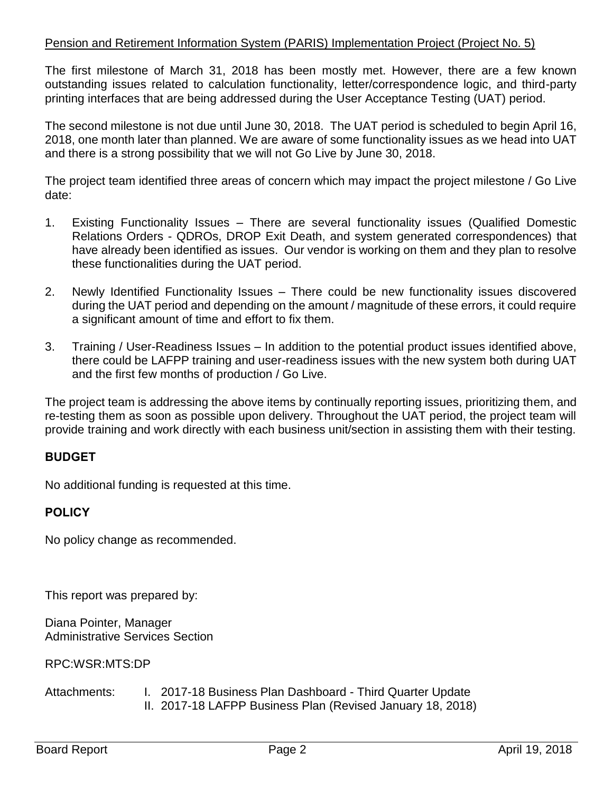#### Pension and Retirement Information System (PARIS) Implementation Project (Project No. 5)

The first milestone of March 31, 2018 has been mostly met. However, there are a few known outstanding issues related to calculation functionality, letter/correspondence logic, and third-party printing interfaces that are being addressed during the User Acceptance Testing (UAT) period.

The second milestone is not due until June 30, 2018. The UAT period is scheduled to begin April 16, 2018, one month later than planned. We are aware of some functionality issues as we head into UAT and there is a strong possibility that we will not Go Live by June 30, 2018.

The project team identified three areas of concern which may impact the project milestone / Go Live date:

- 1. Existing Functionality Issues There are several functionality issues (Qualified Domestic Relations Orders - QDROs, DROP Exit Death, and system generated correspondences) that have already been identified as issues. Our vendor is working on them and they plan to resolve these functionalities during the UAT period.
- 2. Newly Identified Functionality Issues There could be new functionality issues discovered during the UAT period and depending on the amount / magnitude of these errors, it could require a significant amount of time and effort to fix them.
- 3. Training / User-Readiness Issues In addition to the potential product issues identified above, there could be LAFPP training and user-readiness issues with the new system both during UAT and the first few months of production / Go Live.

The project team is addressing the above items by continually reporting issues, prioritizing them, and re-testing them as soon as possible upon delivery. Throughout the UAT period, the project team will provide training and work directly with each business unit/section in assisting them with their testing.

#### **BUDGET**

No additional funding is requested at this time.

#### **POLICY**

No policy change as recommended.

This report was prepared by:

Diana Pointer, Manager Administrative Services Section

RPC:WSR:MTS:DP

Attachments: I. 2017-18 Business Plan Dashboard - Third Quarter Update II. 2017-18 LAFPP Business Plan (Revised January 18, 2018)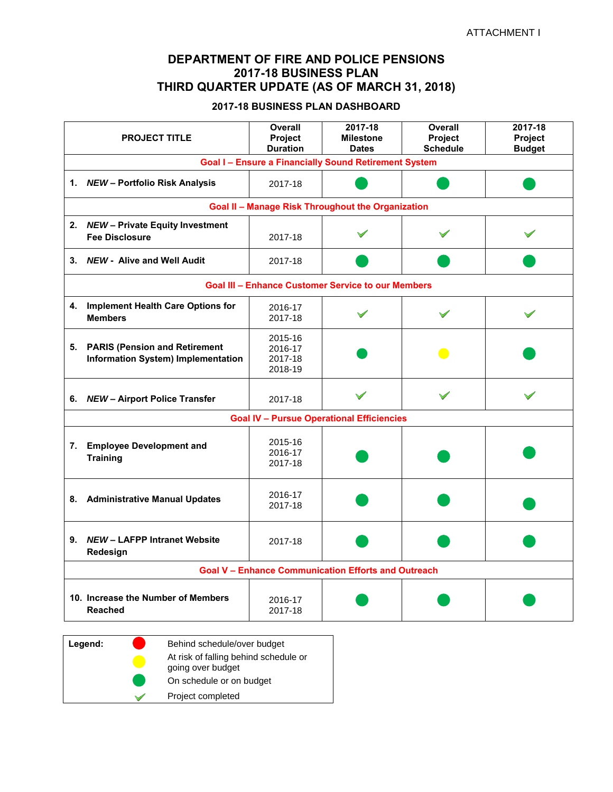#### **DEPARTMENT OF FIRE AND POLICE PENSIONS 2017-18 BUSINESS PLAN THIRD QUARTER UPDATE (AS OF MARCH 31, 2018)**

#### **2017-18 BUSINESS PLAN DASHBOARD**

|    | <b>PROJECT TITLE</b>                                                          | <b>Overall</b><br><b>Project</b><br><b>Duration</b> | 2017-18<br><b>Milestone</b><br><b>Dates</b>                | <b>Overall</b><br><b>Project</b><br><b>Schedule</b> | 2017-18<br>Project<br><b>Budget</b> |
|----|-------------------------------------------------------------------------------|-----------------------------------------------------|------------------------------------------------------------|-----------------------------------------------------|-------------------------------------|
|    |                                                                               |                                                     | <b>Goal I-Ensure a Financially Sound Retirement System</b> |                                                     |                                     |
|    | 1. NEW - Portfolio Risk Analysis                                              | 2017-18                                             |                                                            |                                                     |                                     |
|    |                                                                               |                                                     | <b>Goal II - Manage Risk Throughout the Organization</b>   |                                                     |                                     |
|    | 2. NEW - Private Equity Investment<br><b>Fee Disclosure</b>                   | 2017-18                                             |                                                            |                                                     |                                     |
|    | 3. NEW - Alive and Well Audit                                                 | 2017-18                                             |                                                            |                                                     |                                     |
|    |                                                                               |                                                     | <b>Goal III - Enhance Customer Service to our Members</b>  |                                                     |                                     |
|    | 4. Implement Health Care Options for<br><b>Members</b>                        | 2016-17<br>2017-18                                  |                                                            |                                                     |                                     |
|    | 5. PARIS (Pension and Retirement<br><b>Information System) Implementation</b> | 2015-16<br>2016-17<br>2017-18<br>2018-19            |                                                            |                                                     |                                     |
|    | 6. NEW - Airport Police Transfer                                              | 2017-18                                             |                                                            |                                                     |                                     |
|    | <b>Goal IV - Pursue Operational Efficiencies</b>                              |                                                     |                                                            |                                                     |                                     |
|    | 7. Employee Development and<br><b>Training</b>                                | 2015-16<br>2016-17<br>2017-18                       |                                                            |                                                     |                                     |
| 8. | <b>Administrative Manual Updates</b>                                          | 2016-17<br>2017-18                                  |                                                            |                                                     |                                     |
|    | 9. NEW - LAFPP Intranet Website<br>Redesign                                   | 2017-18                                             |                                                            |                                                     |                                     |
|    | <b>Goal V - Enhance Communication Efforts and Outreach</b>                    |                                                     |                                                            |                                                     |                                     |
|    | 10. Increase the Number of Members<br><b>Reached</b>                          | 2016-17<br>2017-18                                  |                                                            |                                                     |                                     |

| Legend: | Behind schedule/over budget                                |
|---------|------------------------------------------------------------|
|         | At risk of falling behind schedule or<br>going over budget |
|         | On schedule or on budget                                   |
|         | Project completed                                          |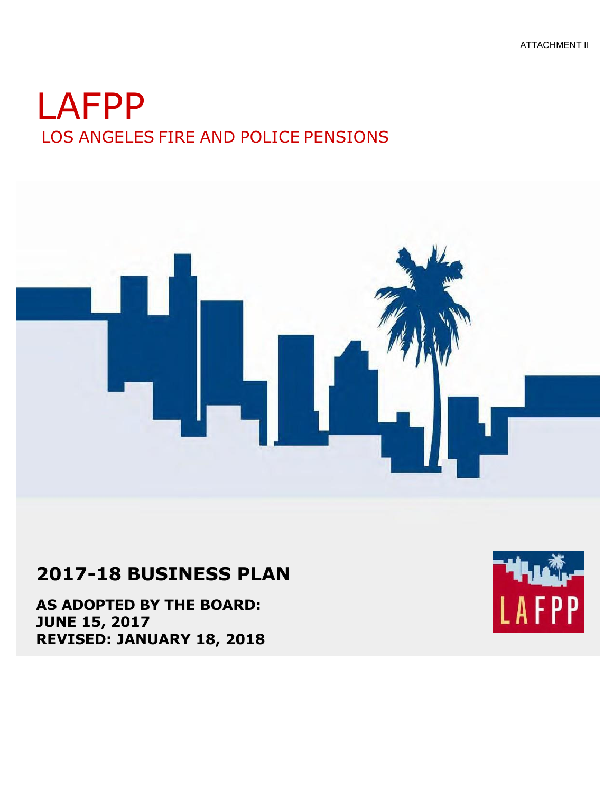# LAFPP LOS ANGELES FIRE AND POLICE PENSIONS



## **2017-18 BUSINESS PLAN**

**AS ADOPTED BY THE BOARD: JUNE 15, 2017 REVISED: JANUARY 18, 2018**

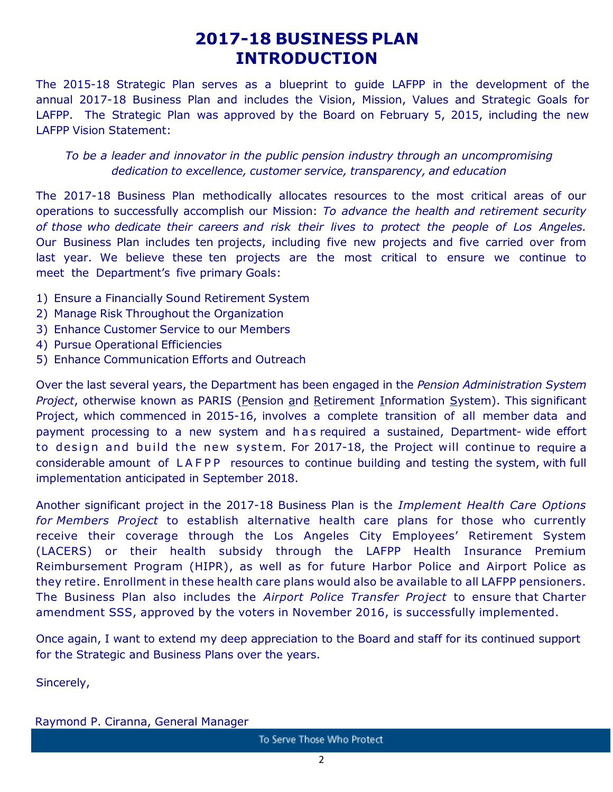## **2017-18 BUSINESS PLAN INTRODUCTION**

The 2015-18 Strategic Plan serves as a blueprint to guide LAFPP in the development of the annual 2017-18 Business Plan and includes the Vision, Mission, Values and Strategic Goals for LAFPP. The Strategic Plan was approved by the Board on February 5, 2015, including the new LAFPP Vision Statement:

#### *To be a leader and innovator in the public pension industry through an uncompromising dedication to excellence, customer service, transparency, and education*

The 2017-18 Business Plan methodically allocates resources to the most critical areas of our operations to successfully accomplish our Mission: *To advance the health and retirement security of those who dedicate their careers and risk their lives to protect the people of Los Angeles.*  Our Business Plan includes ten projects, including five new projects and five carried over from last year. We believe these ten projects are the most critical to ensure we continue to meet the Department's five primary Goals:

- 1) Ensure a Financially Sound Retirement System
- 2) Manage Risk Throughout the Organization
- 3) Enhance Customer Service to our Members
- 4) Pursue Operational Efficiencies
- 5) Enhance Communication Efforts and Outreach

Over the last several years, the Department has been engaged in the *Pension Administration System Project*, otherwise known as PARIS (Pension and Retirement Information System). This significant Project, which commenced in 2015-16, involves a complete transition of all member data and payment processing to a new system and has required a sustained, Department- wide effort to design and build the new system. For 2017-18, the Project will continue to require a considerable amount of LAFPP resources to continue building and testing the system, with full implementation anticipated in September 2018.

Another significant project in the 2017-18 Business Plan is the *Implement Health Care Options for Members Project* to establish alternative health care plans for those who currently receive their coverage through the Los Angeles City Employees' Retirement System (LACERS) or their health subsidy through the LAFPP Health Insurance Premium Reimbursement Program (HIPR), as well as for future Harbor Police and Airport Police as they retire. Enrollment in these health care plans would also be available to all LAFPP pensioners. The Business Plan also includes the *Airport Police Transfer Project* to ensure that Charter amendment SSS, approved by the voters in November 2016, is successfully implemented.

Once again, I want to extend my deep appreciation to the Board and staff for its continued support for the Strategic and Business Plans over the years.

Sincerely,

Raymond P. Ciranna, General Manager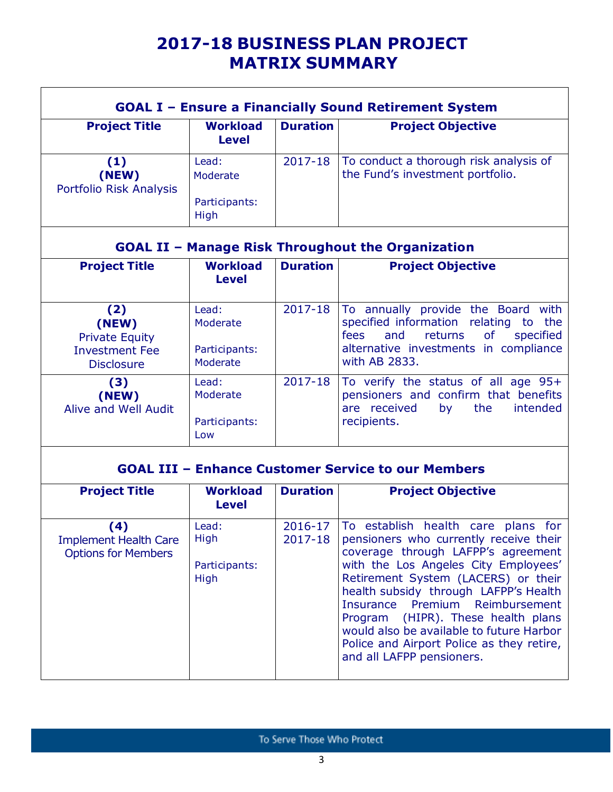## **2017-18 BUSINESS PLAN PROJECT MATRIX SUMMARY**

|                                                                                     |                                                |                    | <b>GOAL I - Ensure a Financially Sound Retirement System</b>                                                                                                                                                                                                                                                                                                                                                                              |
|-------------------------------------------------------------------------------------|------------------------------------------------|--------------------|-------------------------------------------------------------------------------------------------------------------------------------------------------------------------------------------------------------------------------------------------------------------------------------------------------------------------------------------------------------------------------------------------------------------------------------------|
| <b>Project Title</b>                                                                | <b>Workload</b><br><b>Level</b>                | <b>Duration</b>    | <b>Project Objective</b>                                                                                                                                                                                                                                                                                                                                                                                                                  |
| (1)<br>(NEW)<br>Portfolio Risk Analysis                                             | Lead:<br>Moderate<br>Participants:<br>High     | 2017-18            | To conduct a thorough risk analysis of<br>the Fund's investment portfolio.                                                                                                                                                                                                                                                                                                                                                                |
|                                                                                     |                                                |                    | <b>GOAL II - Manage Risk Throughout the Organization</b>                                                                                                                                                                                                                                                                                                                                                                                  |
| <b>Project Title</b>                                                                | <b>Workload</b><br><b>Level</b>                | <b>Duration</b>    | <b>Project Objective</b>                                                                                                                                                                                                                                                                                                                                                                                                                  |
| (2)<br>(NEW)<br><b>Private Equity</b><br><b>Investment Fee</b><br><b>Disclosure</b> | Lead:<br>Moderate<br>Participants:<br>Moderate | 2017-18            | To annually provide the Board with<br>specified information relating to the<br>fees<br>returns<br><b>of</b><br>specified<br>and<br>alternative investments in compliance<br>with AB 2833.                                                                                                                                                                                                                                                 |
| (3)<br>(NEW)<br><b>Alive and Well Audit</b>                                         | Lead:<br>Moderate<br>Participants:<br>Low      | $2017 - 18$        | To verify the status of all age 95+<br>pensioners and confirm that benefits<br>are received<br>the<br>intended<br>by<br>recipients.                                                                                                                                                                                                                                                                                                       |
|                                                                                     |                                                |                    | <b>GOAL III - Enhance Customer Service to our Members</b>                                                                                                                                                                                                                                                                                                                                                                                 |
| <b>Project Title</b>                                                                | <b>Workload</b><br><b>Level</b>                | <b>Duration</b>    | <b>Project Objective</b>                                                                                                                                                                                                                                                                                                                                                                                                                  |
| (4)<br><b>Implement Health Care</b><br><b>Options for Members</b>                   | Lead:<br>High<br>Participants:<br>High         | 2016-17<br>2017-18 | To establish health care plans for<br>pensioners who currently receive their<br>coverage through LAFPP's agreement<br>with the Los Angeles City Employees'<br>Retirement System (LACERS) or their<br>health subsidy through LAFPP's Health<br>Insurance Premium Reimbursement<br>Program (HIPR). These health plans<br>would also be available to future Harbor<br>Police and Airport Police as they retire,<br>and all LAFPP pensioners. |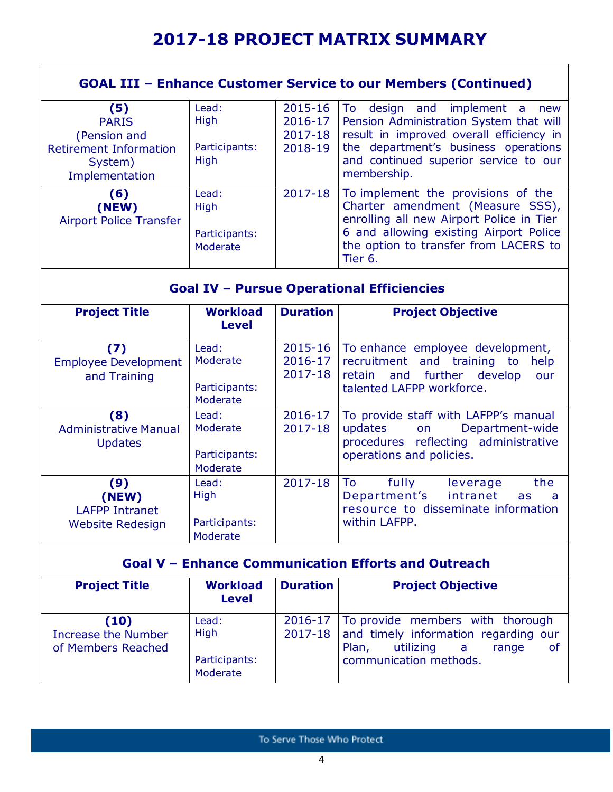## **2017-18 PROJECT MATRIX SUMMARY**

|                                                                                                   |                                                            |                                          | <b>GOAL III - Enhance Customer Service to our Members (Continued)</b>                                                                                                                                                                            |  |
|---------------------------------------------------------------------------------------------------|------------------------------------------------------------|------------------------------------------|--------------------------------------------------------------------------------------------------------------------------------------------------------------------------------------------------------------------------------------------------|--|
| (5)<br><b>PARIS</b><br>(Pension and<br><b>Retirement Information</b><br>System)<br>Implementation | Lead:<br>High<br>Participants:<br>High                     | 2015-16<br>2016-17<br>2017-18<br>2018-19 | implement<br>To<br>design<br>and<br>$\overline{a}$<br>new<br>Pension Administration System that will<br>result in improved overall efficiency in<br>the department's business operations<br>and continued superior service to our<br>membership. |  |
| (6)<br>(NEW)<br><b>Airport Police Transfer</b>                                                    | Lead:<br>High<br>Participants:<br>Moderate                 | 2017-18                                  | To implement the provisions of the<br>Charter amendment (Measure SSS),<br>enrolling all new Airport Police in Tier<br>6 and allowing existing Airport Police<br>the option to transfer from LACERS to<br>Tier 6.                                 |  |
|                                                                                                   |                                                            |                                          | <b>Goal IV - Pursue Operational Efficiencies</b>                                                                                                                                                                                                 |  |
| <b>Project Title</b>                                                                              | <b>Workload</b><br><b>Level</b>                            | <b>Duration</b>                          | <b>Project Objective</b>                                                                                                                                                                                                                         |  |
| (7)<br><b>Employee Development</b><br>and Training                                                | Lead:<br>Moderate<br>Participants:<br>Moderate             | 2015-16<br>2016-17<br>2017-18            | To enhance employee development,<br>recruitment and training to<br>help<br>further<br>retain<br>develop<br>and<br>our<br>talented LAFPP workforce.                                                                                               |  |
| (8)<br><b>Administrative Manual</b><br><b>Updates</b>                                             | Lead:<br>Moderate<br>Participants:<br>Moderate             | 2016-17<br>2017-18                       | To provide staff with LAFPP's manual<br>Department-wide<br>updates<br>on<br>procedures reflecting administrative<br>operations and policies.                                                                                                     |  |
| (9)<br>(NEW)<br><b>LAFPP Intranet</b><br><b>Website Redesign</b>                                  | Lead:<br>High<br>Participants:<br>Moderate                 | $2017 - 18$                              | fully<br>To<br>the<br>leverage<br>Department's<br>intranet<br>as<br>a<br>resource to disseminate information<br>within LAFPP.                                                                                                                    |  |
|                                                                                                   | <b>Goal V - Enhance Communication Efforts and Outreach</b> |                                          |                                                                                                                                                                                                                                                  |  |
| <b>Project Title</b>                                                                              | <b>Workload</b><br><b>Level</b>                            | <b>Duration</b>                          | <b>Project Objective</b>                                                                                                                                                                                                                         |  |
| (10)<br><b>Increase the Number</b><br>of Members Reached                                          | Lead:<br>High<br>Participants:<br>Moderate                 | 2016-17<br>2017-18                       | To provide members with thorough<br>and timely information regarding our<br>utilizing<br>Plan,<br>range<br>a<br>0f<br>communication methods.                                                                                                     |  |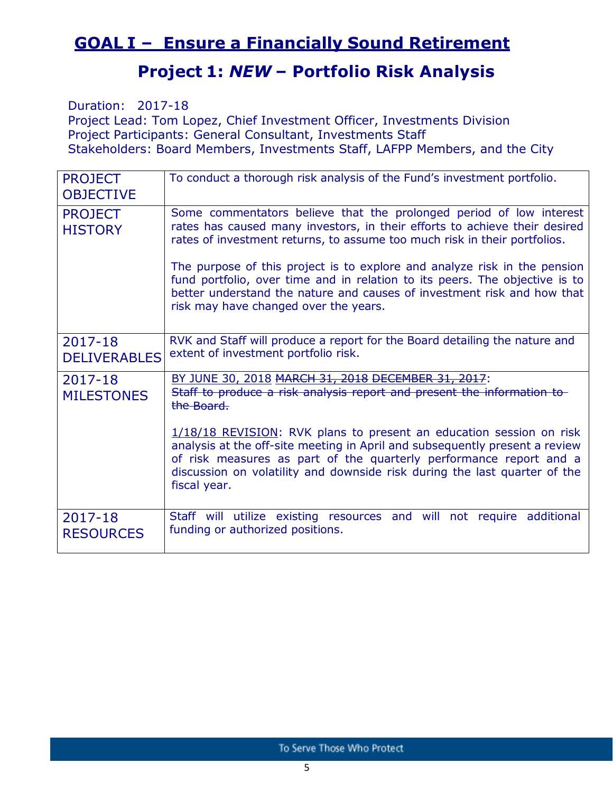## **GOAL I – Ensure a Financially Sound Retirement**

## **Project 1:** *NEW* **– Portfolio Risk Analysis**

Duration: 2017-18 Project Lead: Tom Lopez, Chief Investment Officer, Investments Division Project Participants: General Consultant, Investments Staff Stakeholders: Board Members, Investments Staff, LAFPP Members, and the City

| <b>PROJECT</b><br><b>OBJECTIVE</b> | To conduct a thorough risk analysis of the Fund's investment portfolio.                                                                                                                                                                                                                                                                                                                                                                                                                                        |
|------------------------------------|----------------------------------------------------------------------------------------------------------------------------------------------------------------------------------------------------------------------------------------------------------------------------------------------------------------------------------------------------------------------------------------------------------------------------------------------------------------------------------------------------------------|
| <b>PROJECT</b><br><b>HISTORY</b>   | Some commentators believe that the prolonged period of low interest<br>rates has caused many investors, in their efforts to achieve their desired<br>rates of investment returns, to assume too much risk in their portfolios.<br>The purpose of this project is to explore and analyze risk in the pension<br>fund portfolio, over time and in relation to its peers. The objective is to<br>better understand the nature and causes of investment risk and how that<br>risk may have changed over the years. |
| 2017-18<br><b>DELIVERABLES</b>     | RVK and Staff will produce a report for the Board detailing the nature and<br>extent of investment portfolio risk.                                                                                                                                                                                                                                                                                                                                                                                             |
| 2017-18<br><b>MILESTONES</b>       | BY JUNE 30, 2018 MARCH 31, 2018 DECEMBER 31, 2017:<br>Staff to produce a risk analysis report and present the information to<br>the Board.<br>1/18/18 REVISION: RVK plans to present an education session on risk<br>analysis at the off-site meeting in April and subsequently present a review<br>of risk measures as part of the quarterly performance report and a<br>discussion on volatility and downside risk during the last quarter of the<br>fiscal year.                                            |
| 2017-18<br><b>RESOURCES</b>        | Staff will utilize existing resources and will not require additional<br>funding or authorized positions.                                                                                                                                                                                                                                                                                                                                                                                                      |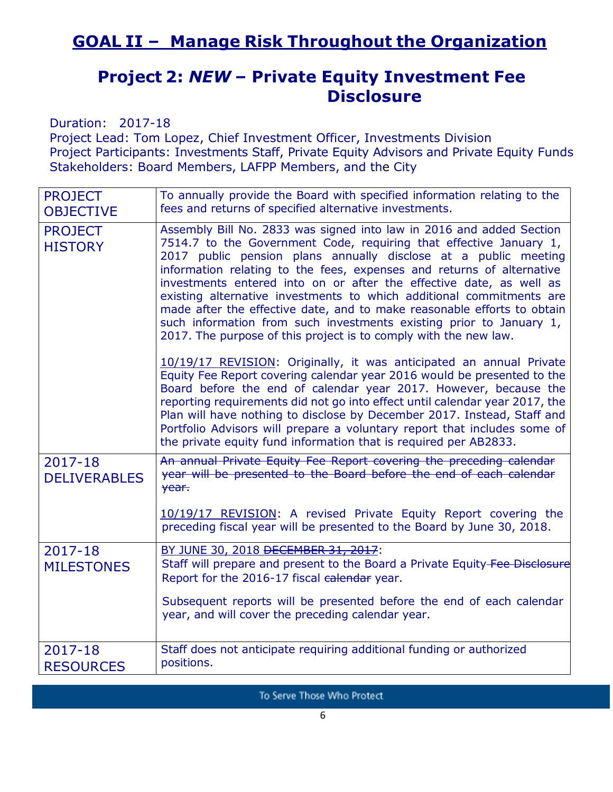### **Project 2:** *NEW* **– Private Equity Investment Fee Disclosure**

Duration: 2017-18

Project Lead: Tom Lopez, Chief Investment Officer, Investments Division Project Participants: Investments Staff, Private Equity Advisors and Private Equity Funds Stakeholders: Board Members, LAFPP Members, and the City

| <b>PROJECT</b><br><b>OBJECTIVE</b> | To annually provide the Board with specified information relating to the<br>fees and returns of specified alternative investments.                                                                                                                                                                                                                                                                                                                                                                                                                                                                                                                          |
|------------------------------------|-------------------------------------------------------------------------------------------------------------------------------------------------------------------------------------------------------------------------------------------------------------------------------------------------------------------------------------------------------------------------------------------------------------------------------------------------------------------------------------------------------------------------------------------------------------------------------------------------------------------------------------------------------------|
| <b>PROJECT</b><br><b>HISTORY</b>   | Assembly Bill No. 2833 was signed into law in 2016 and added Section<br>7514.7 to the Government Code, requiring that effective January 1,<br>2017 public pension plans annually disclose at a public meeting<br>information relating to the fees, expenses and returns of alternative<br>investments entered into on or after the effective date, as well as<br>existing alternative investments to which additional commitments are<br>made after the effective date, and to make reasonable efforts to obtain<br>such information from such investments existing prior to January 1,<br>2017. The purpose of this project is to comply with the new law. |
|                                    | 10/19/17 REVISION: Originally, it was anticipated an annual Private<br>Equity Fee Report covering calendar year 2016 would be presented to the<br>Board before the end of calendar year 2017. However, because the<br>reporting requirements did not go into effect until calendar year 2017, the<br>Plan will have nothing to disclose by December 2017. Instead, Staff and<br>Portfolio Advisors will prepare a voluntary report that includes some of<br>the private equity fund information that is required per AB2833.                                                                                                                                |
| 2017-18<br><b>DELIVERABLES</b>     | An annual Private Equity Fee Report covering the preceding calendar<br>year will be presented to the Board before the end of each calendar<br>year.                                                                                                                                                                                                                                                                                                                                                                                                                                                                                                         |
|                                    | 10/19/17 REVISION: A revised Private Equity Report covering the<br>preceding fiscal year will be presented to the Board by June 30, 2018.                                                                                                                                                                                                                                                                                                                                                                                                                                                                                                                   |
| $2017 - 18$<br><b>MILESTONES</b>   | BY JUNE 30, 2018 DECEMBER 31, 2017:<br>Staff will prepare and present to the Board a Private Equity-Fee Disclosure<br>Report for the 2016-17 fiscal ealendar year.<br>Subsequent reports will be presented before the end of each calendar<br>year, and will cover the preceding calendar year.                                                                                                                                                                                                                                                                                                                                                             |
| 2017-18<br><b>RESOURCES</b>        | Staff does not anticipate requiring additional funding or authorized<br>positions.                                                                                                                                                                                                                                                                                                                                                                                                                                                                                                                                                                          |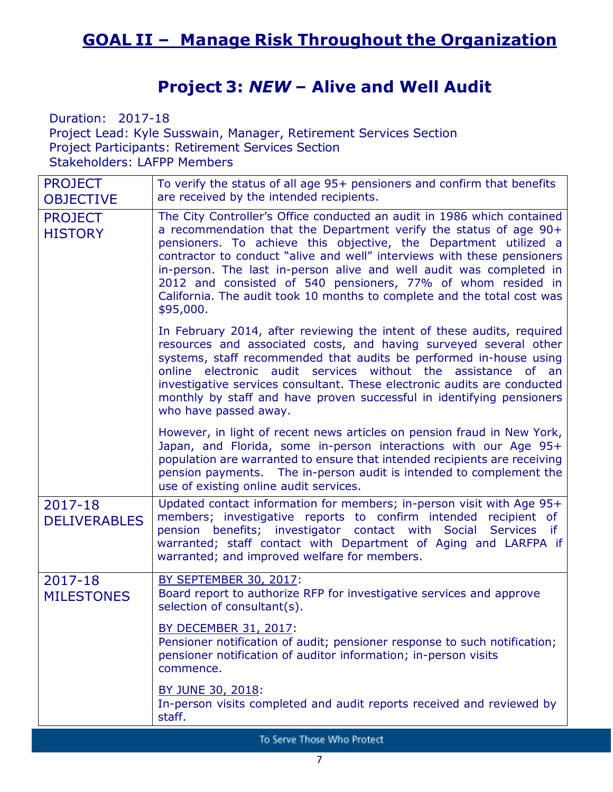## **Project 3:** *NEW* **– Alive and Well Audit**

Duration: 2017-18 Project Lead: Kyle Susswain, Manager, Retirement Services Section Project Participants: Retirement Services Section Stakeholders: LAFPP Members

| <b>PROJECT</b><br><b>OBJECTIVE</b> | To verify the status of all age 95+ pensioners and confirm that benefits<br>are received by the intended recipients.                                                                                                                                                                                                                                                                                                                                                                                                       |
|------------------------------------|----------------------------------------------------------------------------------------------------------------------------------------------------------------------------------------------------------------------------------------------------------------------------------------------------------------------------------------------------------------------------------------------------------------------------------------------------------------------------------------------------------------------------|
| <b>PROJECT</b><br><b>HISTORY</b>   | The City Controller's Office conducted an audit in 1986 which contained<br>a recommendation that the Department verify the status of age 90+<br>pensioners. To achieve this objective, the Department utilized a<br>contractor to conduct "alive and well" interviews with these pensioners<br>in-person. The last in-person alive and well audit was completed in<br>2012 and consisted of 540 pensioners, 77% of whom resided in<br>California. The audit took 10 months to complete and the total cost was<br>\$95,000. |
|                                    | In February 2014, after reviewing the intent of these audits, required<br>resources and associated costs, and having surveyed several other<br>systems, staff recommended that audits be performed in-house using<br>online electronic audit services without the<br>assistance<br>of an<br>investigative services consultant. These electronic audits are conducted<br>monthly by staff and have proven successful in identifying pensioners<br>who have passed away.                                                     |
|                                    | However, in light of recent news articles on pension fraud in New York,<br>Japan, and Florida, some in-person interactions with our Age 95+<br>population are warranted to ensure that intended recipients are receiving<br>pension payments. The in-person audit is intended to complement the<br>use of existing online audit services.                                                                                                                                                                                  |
| 2017-18<br><b>DELIVERABLES</b>     | Updated contact information for members; in-person visit with Age 95+<br>members; investigative reports to confirm intended recipient of<br>pension benefits; investigator contact with Social<br><b>Services</b><br>if.<br>warranted; staff contact with Department of Aging and LARFPA if<br>warranted; and improved welfare for members.                                                                                                                                                                                |
| 2017-18<br><b>MILESTONES</b>       | BY SEPTEMBER 30, 2017:<br>Board report to authorize RFP for investigative services and approve<br>selection of consultant(s).                                                                                                                                                                                                                                                                                                                                                                                              |
|                                    | <b>BY DECEMBER 31, 2017:</b><br>Pensioner notification of audit; pensioner response to such notification;<br>pensioner notification of auditor information; in-person visits<br>commence.                                                                                                                                                                                                                                                                                                                                  |
|                                    | BY JUNE 30, 2018:<br>In-person visits completed and audit reports received and reviewed by<br>staff.                                                                                                                                                                                                                                                                                                                                                                                                                       |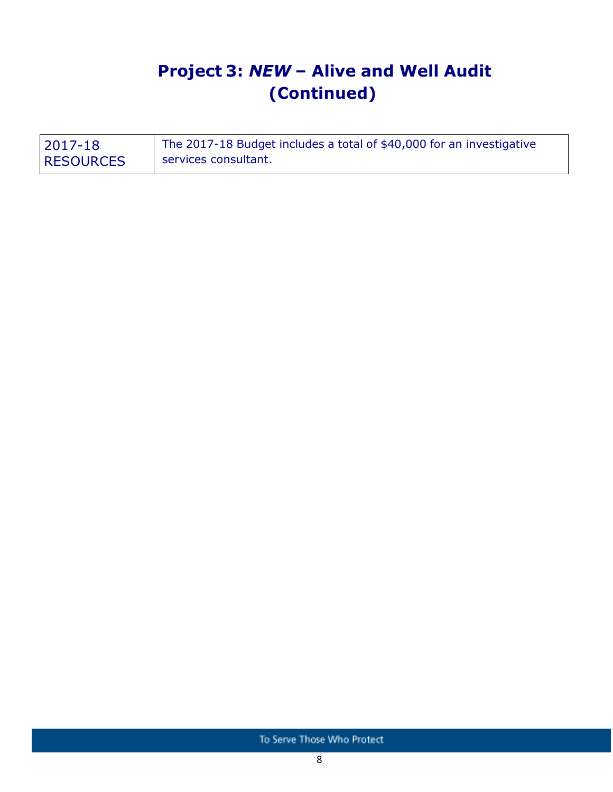## **Project 3:** *NEW* **– Alive and Well Audit (Continued)**

| 2017-18          | The 2017-18 Budget includes a total of \$40,000 for an investigative |
|------------------|----------------------------------------------------------------------|
| <b>RESOURCES</b> | services consultant.                                                 |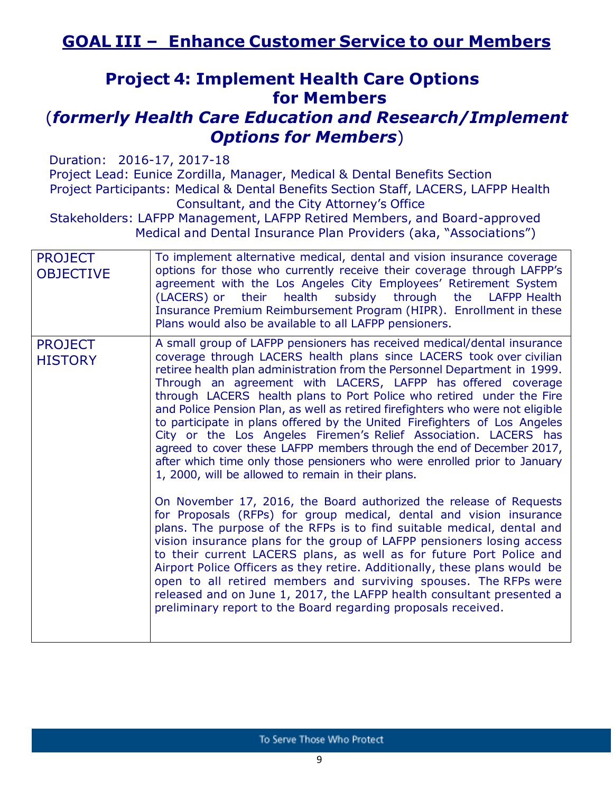## **Project 4: Implement Health Care Options for Members**

### (*formerly Health Care Education and Research/Implement Options for Members*)

Duration: 2016-17, 2017-18 Project Lead: Eunice Zordilla, Manager, Medical & Dental Benefits Section Project Participants: Medical & Dental Benefits Section Staff, LACERS, LAFPP Health Consultant, and the City Attorney's Office Stakeholders: LAFPP Management, LAFPP Retired Members, and Board-approved

Medical and Dental Insurance Plan Providers (aka, "Associations")

| <b>PROJECT</b><br><b>OBJECTIVE</b> | To implement alternative medical, dental and vision insurance coverage<br>options for those who currently receive their coverage through LAFPP's<br>agreement with the Los Angeles City Employees' Retirement System<br>(LACERS) or their health subsidy through the LAFPP Health<br>Insurance Premium Reimbursement Program (HIPR). Enrollment in these<br>Plans would also be available to all LAFPP pensioners.                                                                                                                                                                                                                                                                                                                                                                                                   |
|------------------------------------|----------------------------------------------------------------------------------------------------------------------------------------------------------------------------------------------------------------------------------------------------------------------------------------------------------------------------------------------------------------------------------------------------------------------------------------------------------------------------------------------------------------------------------------------------------------------------------------------------------------------------------------------------------------------------------------------------------------------------------------------------------------------------------------------------------------------|
| <b>PROJECT</b><br><b>HISTORY</b>   | A small group of LAFPP pensioners has received medical/dental insurance<br>coverage through LACERS health plans since LACERS took over civilian<br>retiree health plan administration from the Personnel Department in 1999.<br>Through an agreement with LACERS, LAFPP has offered coverage<br>through LACERS health plans to Port Police who retired under the Fire<br>and Police Pension Plan, as well as retired firefighters who were not eligible<br>to participate in plans offered by the United Firefighters of Los Angeles<br>City or the Los Angeles Firemen's Relief Association. LACERS has<br>agreed to cover these LAFPP members through the end of December 2017,<br>after which time only those pensioners who were enrolled prior to January<br>1, 2000, will be allowed to remain in their plans. |
|                                    | On November 17, 2016, the Board authorized the release of Requests<br>for Proposals (RFPs) for group medical, dental and vision insurance<br>plans. The purpose of the RFPs is to find suitable medical, dental and<br>vision insurance plans for the group of LAFPP pensioners losing access<br>to their current LACERS plans, as well as for future Port Police and<br>Airport Police Officers as they retire. Additionally, these plans would be<br>open to all retired members and surviving spouses. The RFPs were<br>released and on June 1, 2017, the LAFPP health consultant presented a<br>preliminary report to the Board regarding proposals received.                                                                                                                                                    |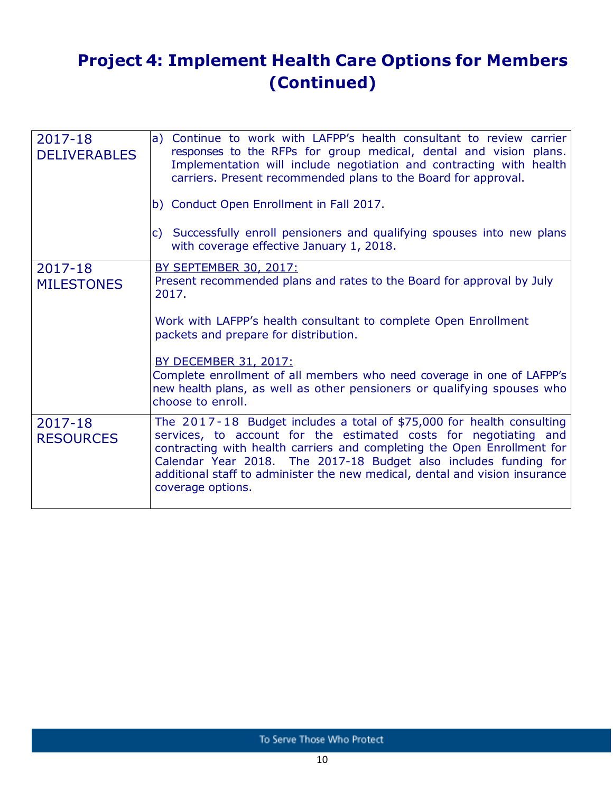## **Project 4: Implement Health Care Options for Members (Continued)**

| 2017-18<br><b>DELIVERABLES</b> | a) Continue to work with LAFPP's health consultant to review carrier<br>responses to the RFPs for group medical, dental and vision plans.<br>Implementation will include negotiation and contracting with health<br>carriers. Present recommended plans to the Board for approval.<br>b) Conduct Open Enrollment in Fall 2017.<br>c) Successfully enroll pensioners and qualifying spouses into new plans<br>with coverage effective January 1, 2018. |
|--------------------------------|-------------------------------------------------------------------------------------------------------------------------------------------------------------------------------------------------------------------------------------------------------------------------------------------------------------------------------------------------------------------------------------------------------------------------------------------------------|
| 2017-18<br><b>MILESTONES</b>   | <b>BY SEPTEMBER 30, 2017:</b><br>Present recommended plans and rates to the Board for approval by July<br>2017.<br>Work with LAFPP's health consultant to complete Open Enrollment<br>packets and prepare for distribution.<br><b>BY DECEMBER 31, 2017:</b><br>Complete enrollment of all members who need coverage in one of LAFPP's<br>new health plans, as well as other pensioners or qualifying spouses who<br>choose to enroll.                 |
| 2017-18<br><b>RESOURCES</b>    | The $2017 - 18$ Budget includes a total of \$75,000 for health consulting<br>services, to account for the estimated costs for negotiating and<br>contracting with health carriers and completing the Open Enrollment for<br>Calendar Year 2018. The 2017-18 Budget also includes funding for<br>additional staff to administer the new medical, dental and vision insurance<br>coverage options.                                                      |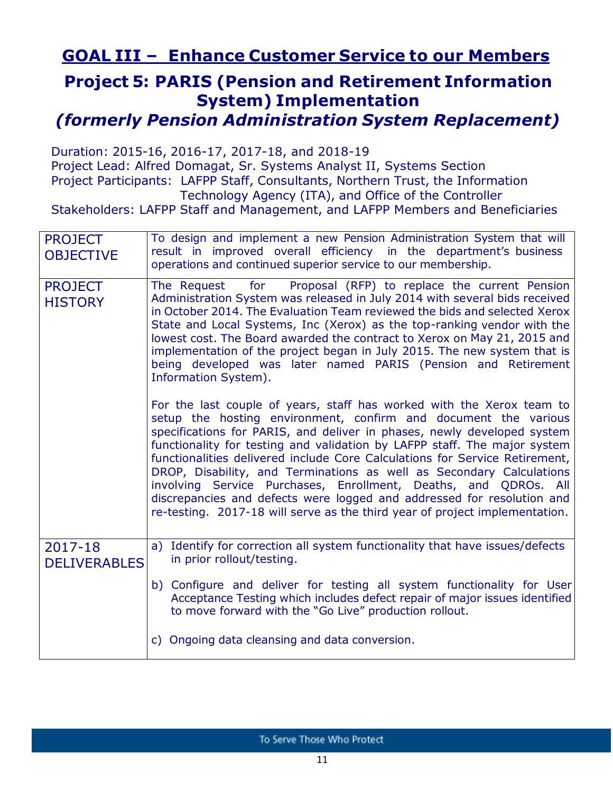## **GOAL III – Enhance Customer Service to our Members**

### **Project 5: PARIS (Pension and Retirement Information System) Implementation**

*(formerly Pension Administration System Replacement)*

Duration: 2015-16, 2016-17, 2017-18, and 2018-19

Project Lead: Alfred Domagat, Sr. Systems Analyst II, Systems Section Project Participants: LAFPP Staff, Consultants, Northern Trust, the Information Technology Agency (ITA), and Office of the Controller

Stakeholders: LAFPP Staff and Management, and LAFPP Members and Beneficiaries

| <b>PROJECT</b><br><b>OBJECTIVE</b> | To design and implement a new Pension Administration System that will<br>result in improved overall efficiency in the department's business<br>operations and continued superior service to our membership.                                                                                                                                                                                                                                                                                                                                                                                                                                                                                                                                                                                                                                                                                                                                                                                                                                                                                                                                                        |  |
|------------------------------------|--------------------------------------------------------------------------------------------------------------------------------------------------------------------------------------------------------------------------------------------------------------------------------------------------------------------------------------------------------------------------------------------------------------------------------------------------------------------------------------------------------------------------------------------------------------------------------------------------------------------------------------------------------------------------------------------------------------------------------------------------------------------------------------------------------------------------------------------------------------------------------------------------------------------------------------------------------------------------------------------------------------------------------------------------------------------------------------------------------------------------------------------------------------------|--|
| <b>PROJECT</b><br><b>HISTORY</b>   | Proposal (RFP) to replace the current Pension<br>for<br>The Request<br>Administration System was released in July 2014 with several bids received<br>in October 2014. The Evaluation Team reviewed the bids and selected Xerox<br>State and Local Systems, Inc (Xerox) as the top-ranking vendor with the<br>lowest cost. The Board awarded the contract to Xerox on May 21, 2015 and<br>implementation of the project began in July 2015. The new system that is<br>being developed was later named PARIS (Pension and Retirement<br>Information System).<br>For the last couple of years, staff has worked with the Xerox team to<br>setup the hosting environment, confirm and document the various<br>specifications for PARIS, and deliver in phases, newly developed system<br>functionality for testing and validation by LAFPP staff. The major system<br>functionalities delivered include Core Calculations for Service Retirement,<br>DROP, Disability, and Terminations as well as Secondary Calculations<br>involving Service Purchases, Enrollment, Deaths, and QDROs. All<br>discrepancies and defects were logged and addressed for resolution and |  |
|                                    | re-testing. 2017-18 will serve as the third year of project implementation.                                                                                                                                                                                                                                                                                                                                                                                                                                                                                                                                                                                                                                                                                                                                                                                                                                                                                                                                                                                                                                                                                        |  |
| 2017-18<br><b>DELIVERABLES</b>     | Identify for correction all system functionality that have issues/defects<br>a)<br>in prior rollout/testing.                                                                                                                                                                                                                                                                                                                                                                                                                                                                                                                                                                                                                                                                                                                                                                                                                                                                                                                                                                                                                                                       |  |
|                                    | b) Configure and deliver for testing all system functionality for User<br>Acceptance Testing which includes defect repair of major issues identified<br>to move forward with the "Go Live" production rollout.                                                                                                                                                                                                                                                                                                                                                                                                                                                                                                                                                                                                                                                                                                                                                                                                                                                                                                                                                     |  |
|                                    | c) Ongoing data cleansing and data conversion.                                                                                                                                                                                                                                                                                                                                                                                                                                                                                                                                                                                                                                                                                                                                                                                                                                                                                                                                                                                                                                                                                                                     |  |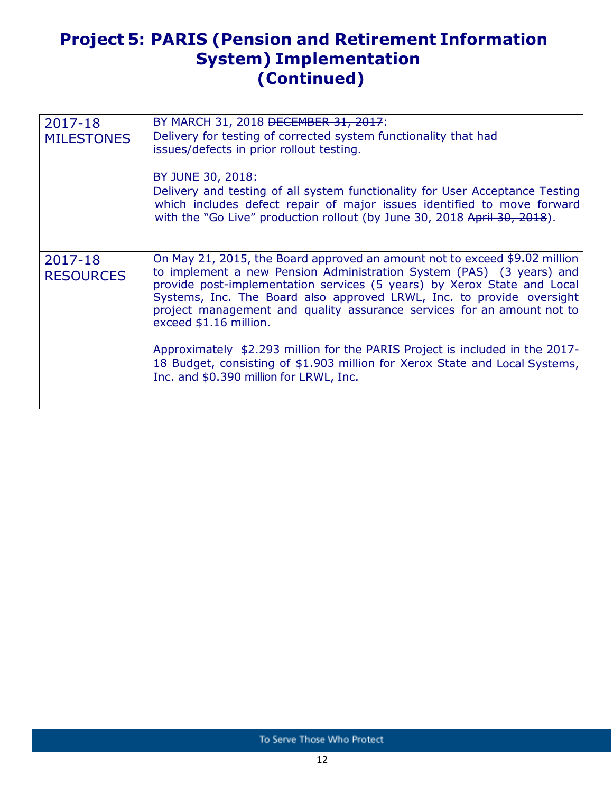## **Project 5: PARIS (Pension and Retirement Information System) Implementation (Continued)**

| 2017-18<br><b>MILESTONES</b> | BY MARCH 31, 2018 DECEMBER 31, 2017:<br>Delivery for testing of corrected system functionality that had<br>issues/defects in prior rollout testing.<br>BY JUNE 30, 2018:<br>Delivery and testing of all system functionality for User Acceptance Testing<br>which includes defect repair of major issues identified to move forward<br>with the "Go Live" production rollout (by June 30, 2018 April 30, 2018).                                                                                                                                                                                                      |
|------------------------------|----------------------------------------------------------------------------------------------------------------------------------------------------------------------------------------------------------------------------------------------------------------------------------------------------------------------------------------------------------------------------------------------------------------------------------------------------------------------------------------------------------------------------------------------------------------------------------------------------------------------|
| 2017-18<br><b>RESOURCES</b>  | On May 21, 2015, the Board approved an amount not to exceed \$9.02 million<br>to implement a new Pension Administration System (PAS) (3 years) and<br>provide post-implementation services (5 years) by Xerox State and Local<br>Systems, Inc. The Board also approved LRWL, Inc. to provide oversight<br>project management and quality assurance services for an amount not to<br>exceed \$1.16 million.<br>Approximately \$2.293 million for the PARIS Project is included in the 2017-<br>18 Budget, consisting of \$1.903 million for Xerox State and Local Systems,<br>Inc. and \$0.390 million for LRWL, Inc. |
|                              |                                                                                                                                                                                                                                                                                                                                                                                                                                                                                                                                                                                                                      |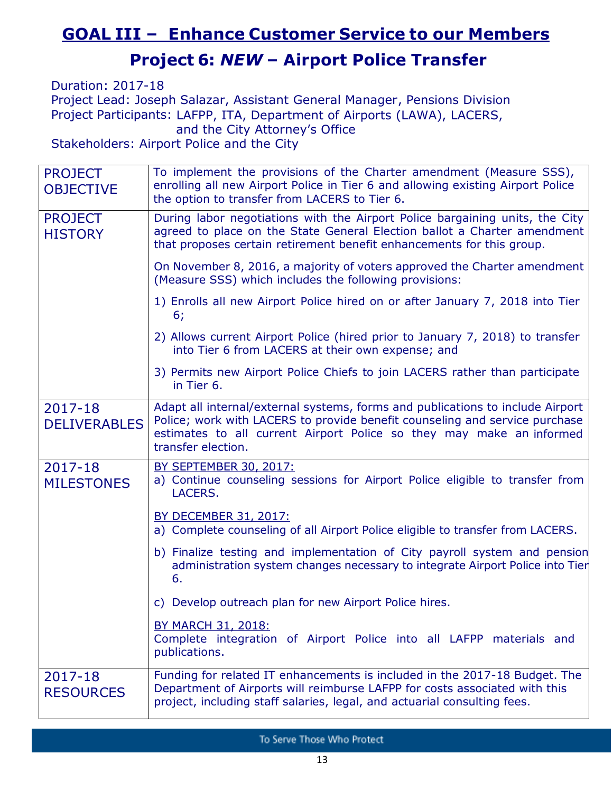## **GOAL III – Enhance Customer Service to our Members**

## **Project 6:** *NEW* **– Airport Police Transfer**

Duration: 2017-18 Project Lead: Joseph Salazar, Assistant General Manager, Pensions Division Project Participants: LAFPP, ITA, Department of Airports (LAWA), LACERS, and the City Attorney's Office

Stakeholders: Airport Police and the City

| <b>PROJECT</b><br><b>OBJECTIVE</b> | To implement the provisions of the Charter amendment (Measure SSS),<br>enrolling all new Airport Police in Tier 6 and allowing existing Airport Police<br>the option to transfer from LACERS to Tier 6.                                                     |
|------------------------------------|-------------------------------------------------------------------------------------------------------------------------------------------------------------------------------------------------------------------------------------------------------------|
| <b>PROJECT</b><br><b>HISTORY</b>   | During labor negotiations with the Airport Police bargaining units, the City<br>agreed to place on the State General Election ballot a Charter amendment<br>that proposes certain retirement benefit enhancements for this group.                           |
|                                    | On November 8, 2016, a majority of voters approved the Charter amendment<br>(Measure SSS) which includes the following provisions:                                                                                                                          |
|                                    | 1) Enrolls all new Airport Police hired on or after January 7, 2018 into Tier<br>6;                                                                                                                                                                         |
|                                    | 2) Allows current Airport Police (hired prior to January 7, 2018) to transfer<br>into Tier 6 from LACERS at their own expense; and                                                                                                                          |
|                                    | 3) Permits new Airport Police Chiefs to join LACERS rather than participate<br>in Tier 6.                                                                                                                                                                   |
| 2017-18<br><b>DELIVERABLES</b>     | Adapt all internal/external systems, forms and publications to include Airport<br>Police; work with LACERS to provide benefit counseling and service purchase<br>estimates to all current Airport Police so they may make an informed<br>transfer election. |
| 2017-18<br><b>MILESTONES</b>       | <b>BY SEPTEMBER 30, 2017:</b><br>a) Continue counseling sessions for Airport Police eligible to transfer from<br>LACERS.                                                                                                                                    |
|                                    | BY DECEMBER 31, 2017:<br>a) Complete counseling of all Airport Police eligible to transfer from LACERS.                                                                                                                                                     |
|                                    | b) Finalize testing and implementation of City payroll system and pension<br>administration system changes necessary to integrate Airport Police into Tier<br>6.                                                                                            |
|                                    | c) Develop outreach plan for new Airport Police hires.                                                                                                                                                                                                      |
|                                    | <b>BY MARCH 31, 2018:</b><br>Complete integration of Airport Police into all LAFPP materials and<br>publications.                                                                                                                                           |
| 2017-18<br><b>RESOURCES</b>        | Funding for related IT enhancements is included in the 2017-18 Budget. The<br>Department of Airports will reimburse LAFPP for costs associated with this<br>project, including staff salaries, legal, and actuarial consulting fees.                        |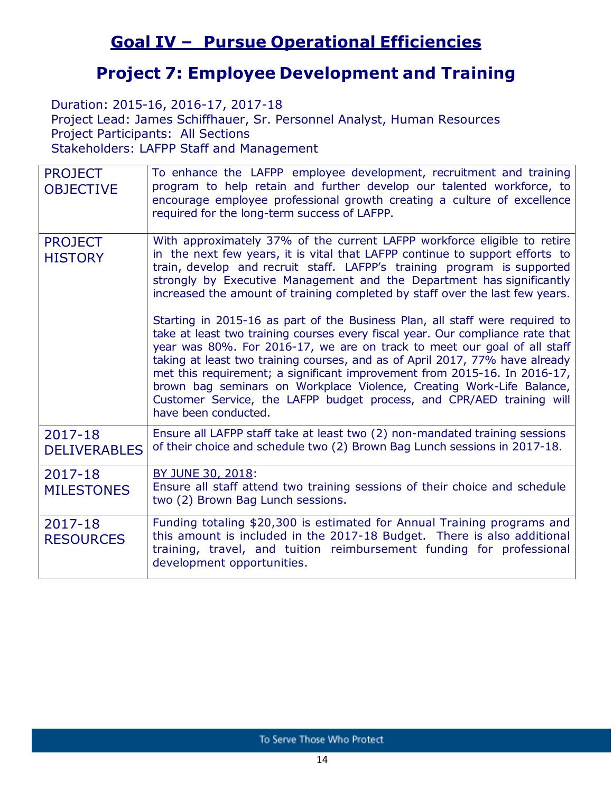## **Goal IV – Pursue Operational Efficiencies**

### **Project 7: Employee Development and Training**

Duration: 2015-16, 2016-17, 2017-18

Project Lead: James Schiffhauer, Sr. Personnel Analyst, Human Resources Project Participants: All Sections Stakeholders: LAFPP Staff and Management

| <b>PROJECT</b><br><b>OBJECTIVE</b> | To enhance the LAFPP employee development, recruitment and training<br>program to help retain and further develop our talented workforce, to<br>encourage employee professional growth creating a culture of excellence<br>required for the long-term success of LAFPP.                                                                                                                                                                                                                                                                                                           |
|------------------------------------|-----------------------------------------------------------------------------------------------------------------------------------------------------------------------------------------------------------------------------------------------------------------------------------------------------------------------------------------------------------------------------------------------------------------------------------------------------------------------------------------------------------------------------------------------------------------------------------|
| <b>PROJECT</b><br><b>HISTORY</b>   | With approximately 37% of the current LAFPP workforce eligible to retire<br>in the next few years, it is vital that LAFPP continue to support efforts to<br>train, develop and recruit staff. LAFPP's training program is supported<br>strongly by Executive Management and the Department has significantly<br>increased the amount of training completed by staff over the last few years.                                                                                                                                                                                      |
|                                    | Starting in 2015-16 as part of the Business Plan, all staff were required to<br>take at least two training courses every fiscal year. Our compliance rate that<br>year was 80%. For 2016-17, we are on track to meet our goal of all staff<br>taking at least two training courses, and as of April 2017, 77% have already<br>met this requirement; a significant improvement from 2015-16. In 2016-17,<br>brown bag seminars on Workplace Violence, Creating Work-Life Balance,<br>Customer Service, the LAFPP budget process, and CPR/AED training will<br>have been conducted. |
| 2017-18<br><b>DELIVERABLES</b>     | Ensure all LAFPP staff take at least two (2) non-mandated training sessions<br>of their choice and schedule two (2) Brown Bag Lunch sessions in 2017-18.                                                                                                                                                                                                                                                                                                                                                                                                                          |
| 2017-18<br><b>MILESTONES</b>       | BY JUNE 30, 2018:<br>Ensure all staff attend two training sessions of their choice and schedule<br>two (2) Brown Bag Lunch sessions.                                                                                                                                                                                                                                                                                                                                                                                                                                              |
| 2017-18<br><b>RESOURCES</b>        | Funding totaling \$20,300 is estimated for Annual Training programs and<br>this amount is included in the 2017-18 Budget. There is also additional<br>training, travel, and tuition reimbursement funding for professional<br>development opportunities.                                                                                                                                                                                                                                                                                                                          |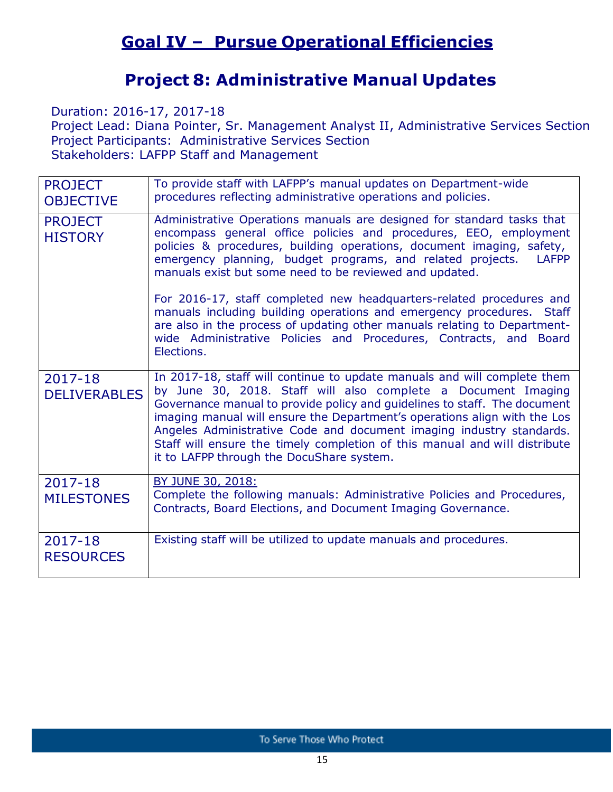## **Goal IV – Pursue Operational Efficiencies**

## **Project 8: Administrative Manual Updates**

Duration: 2016-17, 2017-18

Project Lead: Diana Pointer, Sr. Management Analyst II, Administrative Services Section Project Participants: Administrative Services Section Stakeholders: LAFPP Staff and Management

| <b>PROJECT</b><br><b>OBJECTIVE</b> | To provide staff with LAFPP's manual updates on Department-wide<br>procedures reflecting administrative operations and policies.                                                                                                                                                                                                                                                                                                                                                                                                                                                                                                                                               |
|------------------------------------|--------------------------------------------------------------------------------------------------------------------------------------------------------------------------------------------------------------------------------------------------------------------------------------------------------------------------------------------------------------------------------------------------------------------------------------------------------------------------------------------------------------------------------------------------------------------------------------------------------------------------------------------------------------------------------|
| <b>PROJECT</b><br><b>HISTORY</b>   | Administrative Operations manuals are designed for standard tasks that<br>encompass general office policies and procedures, EEO, employment<br>policies & procedures, building operations, document imaging, safety,<br>emergency planning, budget programs, and related projects.<br><b>LAFPP</b><br>manuals exist but some need to be reviewed and updated.<br>For 2016-17, staff completed new headquarters-related procedures and<br>manuals including building operations and emergency procedures. Staff<br>are also in the process of updating other manuals relating to Department-<br>wide Administrative Policies and Procedures, Contracts, and Board<br>Elections. |
| $2017 - 18$<br><b>DELIVERABLES</b> | In 2017-18, staff will continue to update manuals and will complete them<br>by June 30, 2018. Staff will also complete a Document Imaging<br>Governance manual to provide policy and guidelines to staff. The document<br>imaging manual will ensure the Department's operations align with the Los<br>Angeles Administrative Code and document imaging industry standards.<br>Staff will ensure the timely completion of this manual and will distribute<br>it to LAFPP through the DocuShare system.                                                                                                                                                                         |
| 2017-18<br><b>MILESTONES</b>       | BY JUNE 30, 2018:<br>Complete the following manuals: Administrative Policies and Procedures,<br>Contracts, Board Elections, and Document Imaging Governance.                                                                                                                                                                                                                                                                                                                                                                                                                                                                                                                   |
| 2017-18<br><b>RESOURCES</b>        | Existing staff will be utilized to update manuals and procedures.                                                                                                                                                                                                                                                                                                                                                                                                                                                                                                                                                                                                              |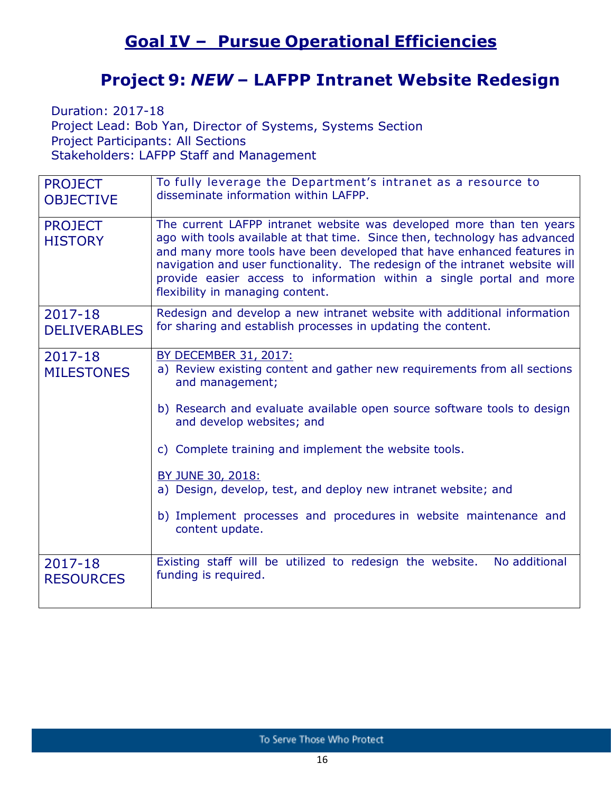## **Goal IV – Pursue Operational Efficiencies**

### **Project 9:** *NEW* **– LAFPP Intranet Website Redesign**

Duration: 2017-18 Project Lead: Bob Yan, Director of Systems, Systems Section Project Participants: All Sections Stakeholders: LAFPP Staff and Management

| <b>PROJECT</b><br><b>OBJECTIVE</b> | To fully leverage the Department's intranet as a resource to<br>disseminate information within LAFPP.                                                                                                                                                                                                                                                                                                                                                                             |
|------------------------------------|-----------------------------------------------------------------------------------------------------------------------------------------------------------------------------------------------------------------------------------------------------------------------------------------------------------------------------------------------------------------------------------------------------------------------------------------------------------------------------------|
| <b>PROJECT</b><br><b>HISTORY</b>   | The current LAFPP intranet website was developed more than ten years<br>ago with tools available at that time. Since then, technology has advanced<br>and many more tools have been developed that have enhanced features in<br>navigation and user functionality. The redesign of the intranet website will<br>provide easier access to information within a single portal and more<br>flexibility in managing content.                                                          |
| 2017-18<br><b>DELIVERABLES</b>     | Redesign and develop a new intranet website with additional information<br>for sharing and establish processes in updating the content.                                                                                                                                                                                                                                                                                                                                           |
| 2017-18<br><b>MILESTONES</b>       | <b>BY DECEMBER 31, 2017:</b><br>a) Review existing content and gather new requirements from all sections<br>and management;<br>b) Research and evaluate available open source software tools to design<br>and develop websites; and<br>c) Complete training and implement the website tools.<br><b>BY JUNE 30, 2018:</b><br>a) Design, develop, test, and deploy new intranet website; and<br>b) Implement processes and procedures in website maintenance and<br>content update. |
| 2017-18<br><b>RESOURCES</b>        | Existing staff will be utilized to redesign the website.<br>No additional<br>funding is required.                                                                                                                                                                                                                                                                                                                                                                                 |